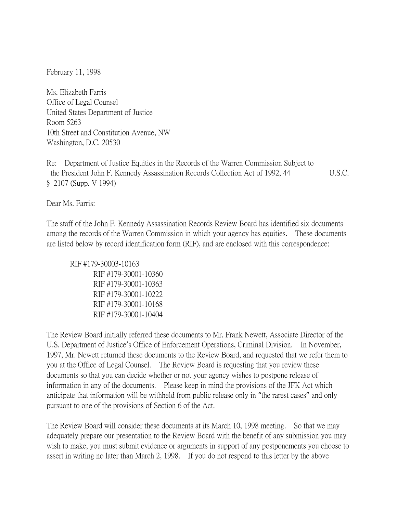February 11, 1998

Ms. Elizabeth Farris Office of Legal Counsel United States Department of Justice Room 5263 10th Street and Constitution Avenue, NW Washington, D.C. 20530

Re: Department of Justice Equities in the Records of the Warren Commission Subject to the President John F. Kennedy Assassination Records Collection Act of 1992, 44 U.S.C. § 2107 (Supp. V 1994)

Dear Ms. Farris:

The staff of the John F. Kennedy Assassination Records Review Board has identified six documents among the records of the Warren Commission in which your agency has equities. These documents are listed below by record identification form (RIF), and are enclosed with this correspondence:

RIF #179-30003-10163 RIF #179-30001-10360 RIF #179-30001-10363 RIF #179-30001-10222 RIF #179-30001-10168 RIF #179-30001-10404

The Review Board initially referred these documents to Mr. Frank Newett, Associate Director of the U.S. Department of Justice's Office of Enforcement Operations, Criminal Division. In November, 1997, Mr. Newett returned these documents to the Review Board, and requested that we refer them to you at the Office of Legal Counsel. The Review Board is requesting that you review these documents so that you can decide whether or not your agency wishes to postpone release of information in any of the documents. Please keep in mind the provisions of the JFK Act which anticipate that information will be withheld from public release only in "the rarest cases" and only pursuant to one of the provisions of Section 6 of the Act.

The Review Board will consider these documents at its March 10, 1998 meeting. So that we may adequately prepare our presentation to the Review Board with the benefit of any submission you may wish to make, you must submit evidence or arguments in support of any postponements you choose to assert in writing no later than March 2, 1998. If you do not respond to this letter by the above